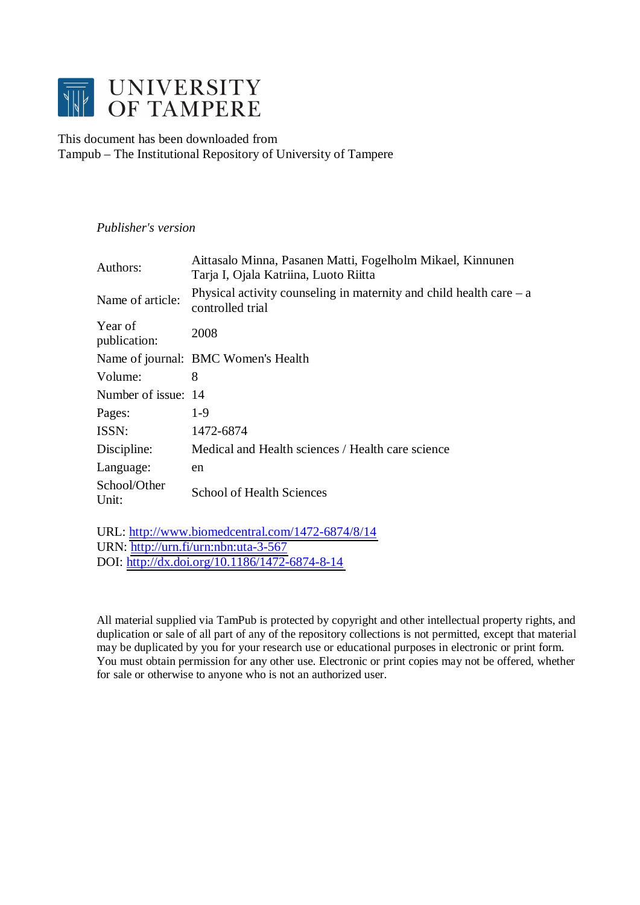

This document has been downloaded from Tampub – The Institutional Repository of University of Tampere

## *Publisher's version*

| Authors:                | Aittasalo Minna, Pasanen Matti, Fogelholm Mikael, Kinnunen<br>Tarja I, Ojala Katriina, Luoto Riitta |
|-------------------------|-----------------------------------------------------------------------------------------------------|
| Name of article:        | Physical activity counseling in maternity and child health care $-$ a<br>controlled trial           |
| Year of<br>publication: | 2008                                                                                                |
|                         | Name of journal: BMC Women's Health                                                                 |
| Volume:                 | 8                                                                                                   |
| Number of issue: 14     |                                                                                                     |
| Pages:                  | $1-9$                                                                                               |
| ISSN:                   | 1472-6874                                                                                           |
| Discipline:             | Medical and Health sciences / Health care science                                                   |
| Language:               | en                                                                                                  |
| School/Other<br>Unit:   | <b>School of Health Sciences</b>                                                                    |
|                         |                                                                                                     |

URL: <http://www.biomedcentral.com/1472-6874/8/14> URN: <http://urn.fi/urn:nbn:uta-3-567> DOI: <http://dx.doi.org/10.1186/1472-6874-8-14>

All material supplied via TamPub is protected by copyright and other intellectual property rights, and duplication or sale of all part of any of the repository collections is not permitted, except that material may be duplicated by you for your research use or educational purposes in electronic or print form. You must obtain permission for any other use. Electronic or print copies may not be offered, whether for sale or otherwise to anyone who is not an authorized user.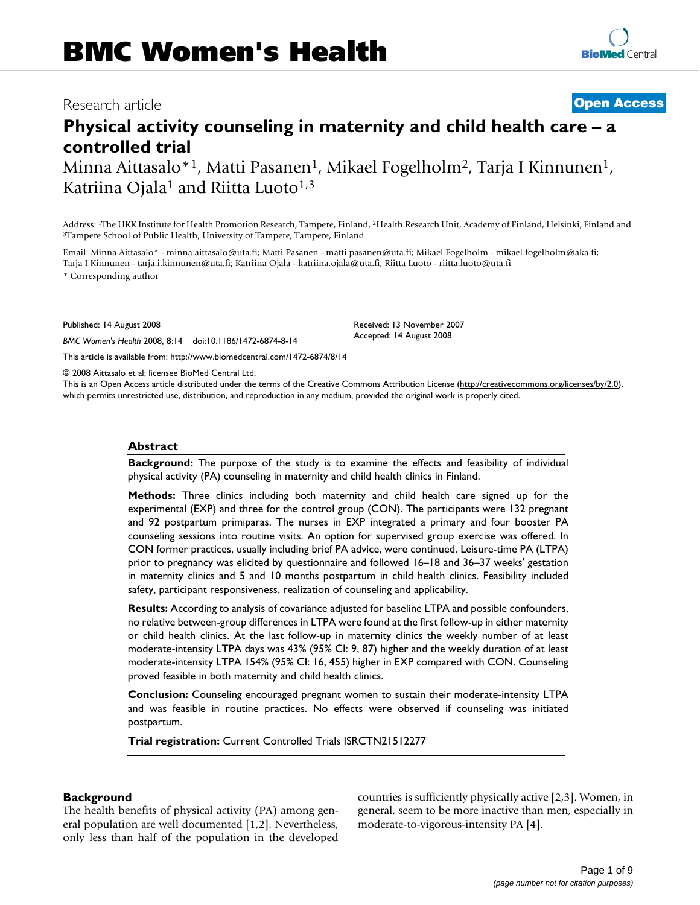## Research article **[Open Access](http://www.biomedcentral.com/info/about/charter/)**

# **Physical activity counseling in maternity and child health care – a controlled trial**

Minna Aittasalo\*<sup>1</sup>, Matti Pasanen<sup>1</sup>, Mikael Fogelholm<sup>2</sup>, Tarja I Kinnunen<sup>1</sup>, Katriina Ojala<sup>1</sup> and Riitta Luoto<sup>1,3</sup>

Address: <sup>1</sup>The UKK Institute for Health Promotion Research, Tampere, Finland, <sup>2</sup>Health Research Unit, Academy of Finland, Helsinki, Finland and <sup>3</sup>Tampere School of Public Health, University of Tampere, Tampere, Finland

Email: Minna Aittasalo\* - minna.aittasalo@uta.fi; Matti Pasanen - matti.pasanen@uta.fi; Mikael Fogelholm - mikael.fogelholm@aka.fi; Tarja I Kinnunen - tarja.i.kinnunen@uta.fi; Katriina Ojala - katriina.ojala@uta.fi; Riitta Luoto - riitta.luoto@uta.fi \* Corresponding author

Published: 14 August 2008

*BMC Women's Health* 2008, **8**:14 doi:10.1186/1472-6874-8-14

[This article is available from: http://www.biomedcentral.com/1472-6874/8/14](http://www.biomedcentral.com/1472-6874/8/14)

© 2008 Aittasalo et al; licensee BioMed Central Ltd.

This is an Open Access article distributed under the terms of the Creative Commons Attribution License [\(http://creativecommons.org/licenses/by/2.0\)](http://creativecommons.org/licenses/by/2.0), which permits unrestricted use, distribution, and reproduction in any medium, provided the original work is properly cited.

Received: 13 November 2007 Accepted: 14 August 2008

#### **Abstract**

**Background:** The purpose of the study is to examine the effects and feasibility of individual physical activity (PA) counseling in maternity and child health clinics in Finland.

**Methods:** Three clinics including both maternity and child health care signed up for the experimental (EXP) and three for the control group (CON). The participants were 132 pregnant and 92 postpartum primiparas. The nurses in EXP integrated a primary and four booster PA counseling sessions into routine visits. An option for supervised group exercise was offered. In CON former practices, usually including brief PA advice, were continued. Leisure-time PA (LTPA) prior to pregnancy was elicited by questionnaire and followed 16–18 and 36–37 weeks' gestation in maternity clinics and 5 and 10 months postpartum in child health clinics. Feasibility included safety, participant responsiveness, realization of counseling and applicability.

**Results:** According to analysis of covariance adjusted for baseline LTPA and possible confounders, no relative between-group differences in LTPA were found at the first follow-up in either maternity or child health clinics. At the last follow-up in maternity clinics the weekly number of at least moderate-intensity LTPA days was 43% (95% CI: 9, 87) higher and the weekly duration of at least moderate-intensity LTPA 154% (95% CI: 16, 455) higher in EXP compared with CON. Counseling proved feasible in both maternity and child health clinics.

**Conclusion:** Counseling encouraged pregnant women to sustain their moderate-intensity LTPA and was feasible in routine practices. No effects were observed if counseling was initiated postpartum.

**Trial registration:** Current Controlled Trials ISRCTN21512277

## **Background**

The health benefits of physical activity (PA) among general population are well documented [1,2]. Nevertheless, only less than half of the population in the developed countries is sufficiently physically active [2,3]. Women, in general, seem to be more inactive than men, especially in moderate-to-vigorous-intensity PA [4].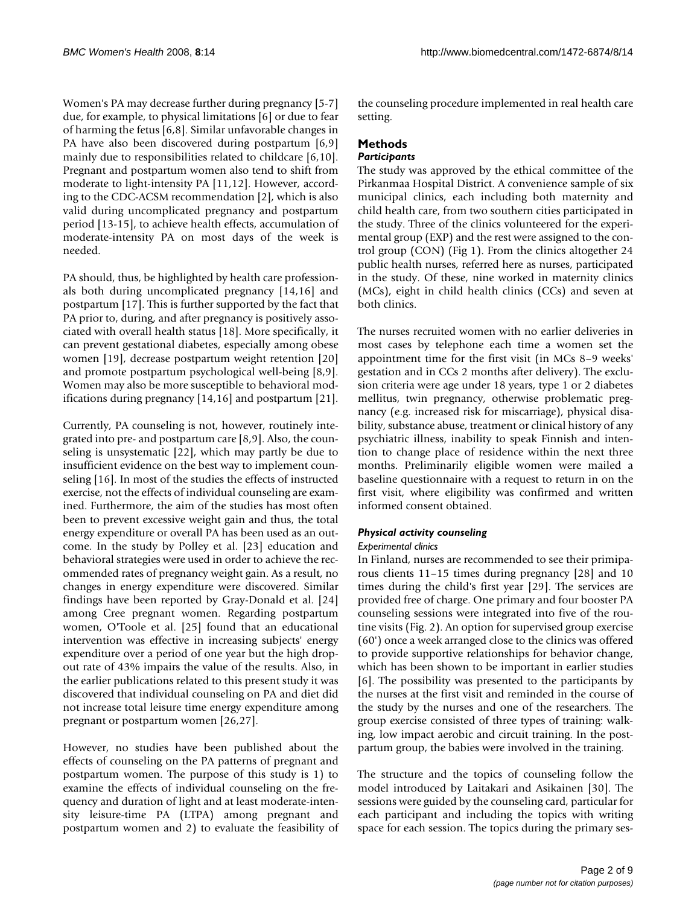Women's PA may decrease further during pregnancy [5-7] due, for example, to physical limitations [6] or due to fear of harming the fetus [6,8]. Similar unfavorable changes in PA have also been discovered during postpartum [6,9] mainly due to responsibilities related to childcare [6,10]. Pregnant and postpartum women also tend to shift from moderate to light-intensity PA [11,12]. However, according to the CDC-ACSM recommendation [2], which is also valid during uncomplicated pregnancy and postpartum period [13-15], to achieve health effects, accumulation of moderate-intensity PA on most days of the week is needed.

PA should, thus, be highlighted by health care professionals both during uncomplicated pregnancy [14,16] and postpartum [17]. This is further supported by the fact that PA prior to, during, and after pregnancy is positively associated with overall health status [18]. More specifically, it can prevent gestational diabetes, especially among obese women [19], decrease postpartum weight retention [20] and promote postpartum psychological well-being [8,9]. Women may also be more susceptible to behavioral modifications during pregnancy [14,16] and postpartum [21].

Currently, PA counseling is not, however, routinely integrated into pre- and postpartum care [8,9]. Also, the counseling is unsystematic [22], which may partly be due to insufficient evidence on the best way to implement counseling [16]. In most of the studies the effects of instructed exercise, not the effects of individual counseling are examined. Furthermore, the aim of the studies has most often been to prevent excessive weight gain and thus, the total energy expenditure or overall PA has been used as an outcome. In the study by Polley et al. [23] education and behavioral strategies were used in order to achieve the recommended rates of pregnancy weight gain. As a result, no changes in energy expenditure were discovered. Similar findings have been reported by Gray-Donald et al. [24] among Cree pregnant women. Regarding postpartum women, O'Toole et al. [25] found that an educational intervention was effective in increasing subjects' energy expenditure over a period of one year but the high dropout rate of 43% impairs the value of the results. Also, in the earlier publications related to this present study it was discovered that individual counseling on PA and diet did not increase total leisure time energy expenditure among pregnant or postpartum women [26,27].

However, no studies have been published about the effects of counseling on the PA patterns of pregnant and postpartum women. The purpose of this study is 1) to examine the effects of individual counseling on the frequency and duration of light and at least moderate-intensity leisure-time PA (LTPA) among pregnant and postpartum women and 2) to evaluate the feasibility of the counseling procedure implemented in real health care setting.

## **Methods**

## *Participants*

The study was approved by the ethical committee of the Pirkanmaa Hospital District. A convenience sample of six municipal clinics, each including both maternity and child health care, from two southern cities participated in the study. Three of the clinics volunteered for the experimental group (EXP) and the rest were assigned to the control group (CON) (Fig 1). From the clinics altogether 24 public health nurses, referred here as nurses, participated in the study. Of these, nine worked in maternity clinics (MCs), eight in child health clinics (CCs) and seven at both clinics.

The nurses recruited women with no earlier deliveries in most cases by telephone each time a women set the appointment time for the first visit (in MCs 8–9 weeks' gestation and in CCs 2 months after delivery). The exclusion criteria were age under 18 years, type 1 or 2 diabetes mellitus, twin pregnancy, otherwise problematic pregnancy (e.g. increased risk for miscarriage), physical disability, substance abuse, treatment or clinical history of any psychiatric illness, inability to speak Finnish and intention to change place of residence within the next three months. Preliminarily eligible women were mailed a baseline questionnaire with a request to return in on the first visit, where eligibility was confirmed and written informed consent obtained.

## *Physical activity counseling*

## *Experimental clinics*

In Finland, nurses are recommended to see their primiparous clients 11–15 times during pregnancy [28] and 10 times during the child's first year [29]. The services are provided free of charge. One primary and four booster PA counseling sessions were integrated into five of the routine visits (Fig. 2). An option for supervised group exercise (60') once a week arranged close to the clinics was offered to provide supportive relationships for behavior change, which has been shown to be important in earlier studies [6]. The possibility was presented to the participants by the nurses at the first visit and reminded in the course of the study by the nurses and one of the researchers. The group exercise consisted of three types of training: walking, low impact aerobic and circuit training. In the postpartum group, the babies were involved in the training.

The structure and the topics of counseling follow the model introduced by Laitakari and Asikainen [30]. The sessions were guided by the counseling card, particular for each participant and including the topics with writing space for each session. The topics during the primary ses-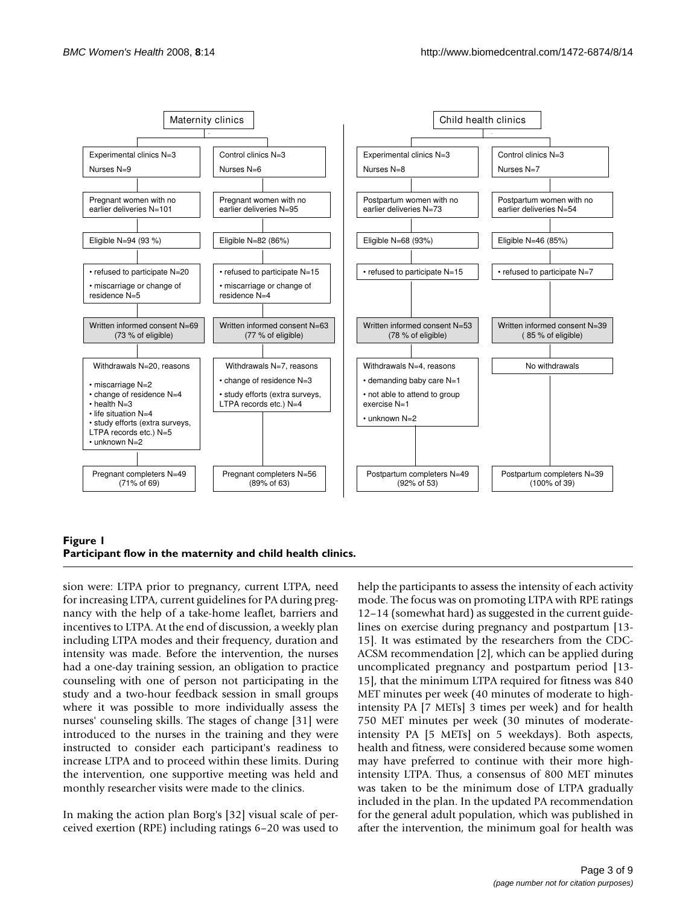

#### **Figure 1 Participant flow in the maternity and child health clinics.**

sion were: LTPA prior to pregnancy, current LTPA, need for increasing LTPA, current guidelines for PA during pregnancy with the help of a take-home leaflet, barriers and incentives to LTPA. At the end of discussion, a weekly plan including LTPA modes and their frequency, duration and intensity was made. Before the intervention, the nurses had a one-day training session, an obligation to practice counseling with one of person not participating in the study and a two-hour feedback session in small groups where it was possible to more individually assess the nurses' counseling skills. The stages of change [31] were introduced to the nurses in the training and they were instructed to consider each participant's readiness to increase LTPA and to proceed within these limits. During the intervention, one supportive meeting was held and monthly researcher visits were made to the clinics.

In making the action plan Borg's [32] visual scale of perceived exertion (RPE) including ratings 6–20 was used to

help the participants to assess the intensity of each activity mode. The focus was on promoting LTPA with RPE ratings 12–14 (somewhat hard) as suggested in the current guidelines on exercise during pregnancy and postpartum [13- 15]. It was estimated by the researchers from the CDC-ACSM recommendation [2], which can be applied during uncomplicated pregnancy and postpartum period [13- 15], that the minimum LTPA required for fitness was 840 MET minutes per week (40 minutes of moderate to highintensity PA [7 METs] 3 times per week) and for health 750 MET minutes per week (30 minutes of moderateintensity PA [5 METs] on 5 weekdays). Both aspects, health and fitness, were considered because some women may have preferred to continue with their more highintensity LTPA. Thus, a consensus of 800 MET minutes was taken to be the minimum dose of LTPA gradually included in the plan. In the updated PA recommendation for the general adult population, which was published in after the intervention, the minimum goal for health was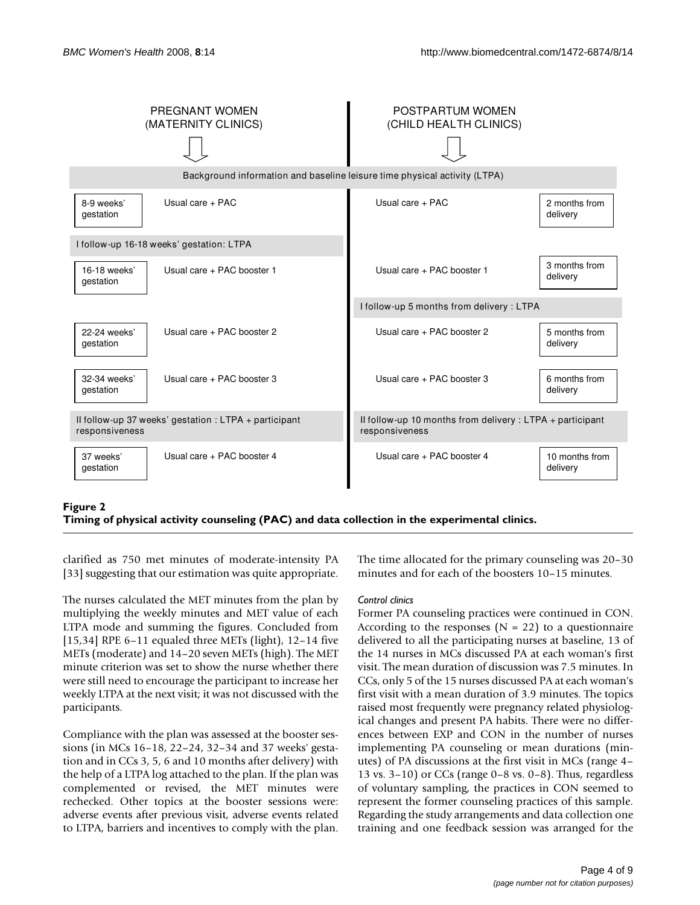

#### Timing of physical activity couns **Figure 2** eling (PAC) and data collection in the experimental clinics **Timing of physical activity counseling (PAC) and data collection in the experimental clinics.**

clarified as 750 met minutes of moderate-intensity PA [33] suggesting that our estimation was quite appropriate.

The nurses calculated the MET minutes from the plan by multiplying the weekly minutes and MET value of each LTPA mode and summing the figures. Concluded from [15,34] RPE 6–11 equaled three METs (light),  $12-14$  five METs (moderate) and 14–20 seven METs (high). The MET minute criterion was set to show the nurse whether there were still need to encourage the participant to increase her weekly LTPA at the next visit; it was not discussed with the participants.

Compliance with the plan was assessed at the booster sessions (in MCs 16–18, 22–24, 32–34 and 37 weeks' gestation and in CCs 3, 5, 6 and 10 months after delivery) with the help of a LTPA log attached to the plan. If the plan was complemented or revised, the MET minutes were rechecked. Other topics at the booster sessions were: adverse events after previous visit, adverse events related to LTPA, barriers and incentives to comply with the plan.

The time allocated for the primary counseling was 20–30 minutes and for each of the boosters 10–15 minutes.

#### *Control clinics*

Former PA counseling practices were continued in CON. According to the responses ( $N = 22$ ) to a questionnaire delivered to all the participating nurses at baseline, 13 of the 14 nurses in MCs discussed PA at each woman's first visit. The mean duration of discussion was 7.5 minutes. In CCs, only 5 of the 15 nurses discussed PA at each woman's first visit with a mean duration of 3.9 minutes. The topics raised most frequently were pregnancy related physiological changes and present PA habits. There were no differences between EXP and CON in the number of nurses implementing PA counseling or mean durations (minutes) of PA discussions at the first visit in MCs (range 4– 13 vs. 3–10) or CCs (range 0–8 vs. 0–8). Thus, regardless of voluntary sampling, the practices in CON seemed to represent the former counseling practices of this sample. Regarding the study arrangements and data collection one training and one feedback session was arranged for the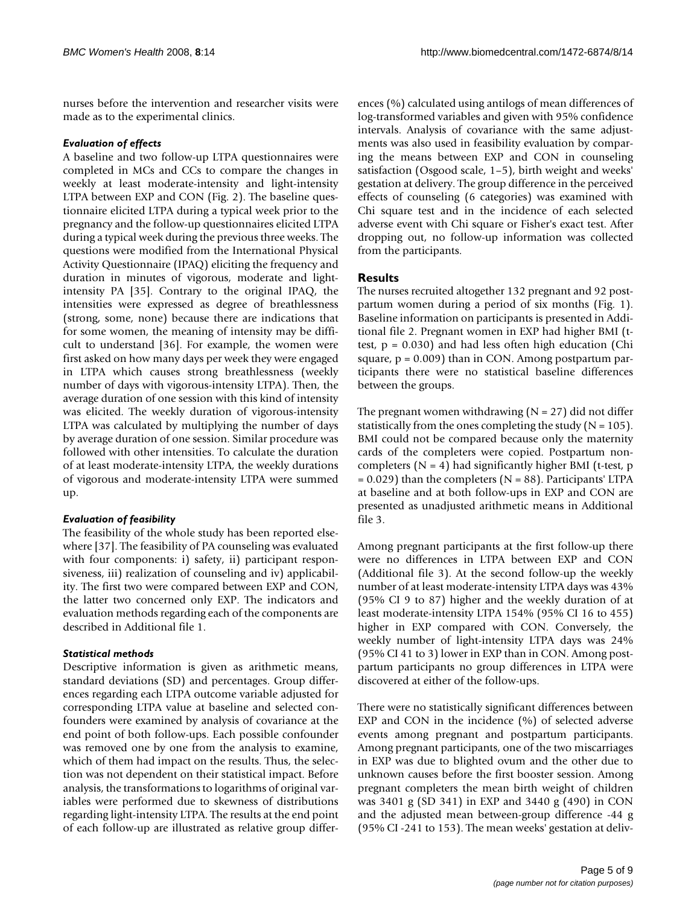nurses before the intervention and researcher visits were made as to the experimental clinics.

## *Evaluation of effects*

A baseline and two follow-up LTPA questionnaires were completed in MCs and CCs to compare the changes in weekly at least moderate-intensity and light-intensity LTPA between EXP and CON (Fig. 2). The baseline questionnaire elicited LTPA during a typical week prior to the pregnancy and the follow-up questionnaires elicited LTPA during a typical week during the previous three weeks. The questions were modified from the International Physical Activity Questionnaire (IPAQ) eliciting the frequency and duration in minutes of vigorous, moderate and lightintensity PA [35]. Contrary to the original IPAQ, the intensities were expressed as degree of breathlessness (strong, some, none) because there are indications that for some women, the meaning of intensity may be difficult to understand [36]. For example, the women were first asked on how many days per week they were engaged in LTPA which causes strong breathlessness (weekly number of days with vigorous-intensity LTPA). Then, the average duration of one session with this kind of intensity was elicited. The weekly duration of vigorous-intensity LTPA was calculated by multiplying the number of days by average duration of one session. Similar procedure was followed with other intensities. To calculate the duration of at least moderate-intensity LTPA, the weekly durations of vigorous and moderate-intensity LTPA were summed up.

## *Evaluation of feasibility*

The feasibility of the whole study has been reported elsewhere [37]. The feasibility of PA counseling was evaluated with four components: i) safety, ii) participant responsiveness, iii) realization of counseling and iv) applicability. The first two were compared between EXP and CON, the latter two concerned only EXP. The indicators and evaluation methods regarding each of the components are described in Additional file 1.

## *Statistical methods*

Descriptive information is given as arithmetic means, standard deviations (SD) and percentages. Group differences regarding each LTPA outcome variable adjusted for corresponding LTPA value at baseline and selected confounders were examined by analysis of covariance at the end point of both follow-ups. Each possible confounder was removed one by one from the analysis to examine, which of them had impact on the results. Thus, the selection was not dependent on their statistical impact. Before analysis, the transformations to logarithms of original variables were performed due to skewness of distributions regarding light-intensity LTPA. The results at the end point of each follow-up are illustrated as relative group differences (%) calculated using antilogs of mean differences of log-transformed variables and given with 95% confidence intervals. Analysis of covariance with the same adjustments was also used in feasibility evaluation by comparing the means between EXP and CON in counseling satisfaction (Osgood scale, 1–5), birth weight and weeks' gestation at delivery. The group difference in the perceived effects of counseling (6 categories) was examined with Chi square test and in the incidence of each selected adverse event with Chi square or Fisher's exact test. After dropping out, no follow-up information was collected from the participants.

## **Results**

The nurses recruited altogether 132 pregnant and 92 postpartum women during a period of six months (Fig. 1). Baseline information on participants is presented in Additional file 2. Pregnant women in EXP had higher BMI (ttest,  $p = 0.030$ ) and had less often high education (Chi square,  $p = 0.009$ ) than in CON. Among postpartum participants there were no statistical baseline differences between the groups.

The pregnant women withdrawing  $(N = 27)$  did not differ statistically from the ones completing the study ( $N = 105$ ). BMI could not be compared because only the maternity cards of the completers were copied. Postpartum noncompleters  $(N = 4)$  had significantly higher BMI (t-test, p  $= 0.029$ ) than the completers (N  $= 88$ ). Participants' LTPA at baseline and at both follow-ups in EXP and CON are presented as unadjusted arithmetic means in Additional file 3.

Among pregnant participants at the first follow-up there were no differences in LTPA between EXP and CON (Additional file 3). At the second follow-up the weekly number of at least moderate-intensity LTPA days was 43% (95% CI 9 to 87) higher and the weekly duration of at least moderate-intensity LTPA 154% (95% CI 16 to 455) higher in EXP compared with CON. Conversely, the weekly number of light-intensity LTPA days was 24% (95% CI 41 to 3) lower in EXP than in CON. Among postpartum participants no group differences in LTPA were discovered at either of the follow-ups.

There were no statistically significant differences between EXP and CON in the incidence (%) of selected adverse events among pregnant and postpartum participants. Among pregnant participants, one of the two miscarriages in EXP was due to blighted ovum and the other due to unknown causes before the first booster session. Among pregnant completers the mean birth weight of children was 3401 g (SD 341) in EXP and 3440 g (490) in CON and the adjusted mean between-group difference -44 g (95% CI -241 to 153). The mean weeks' gestation at deliv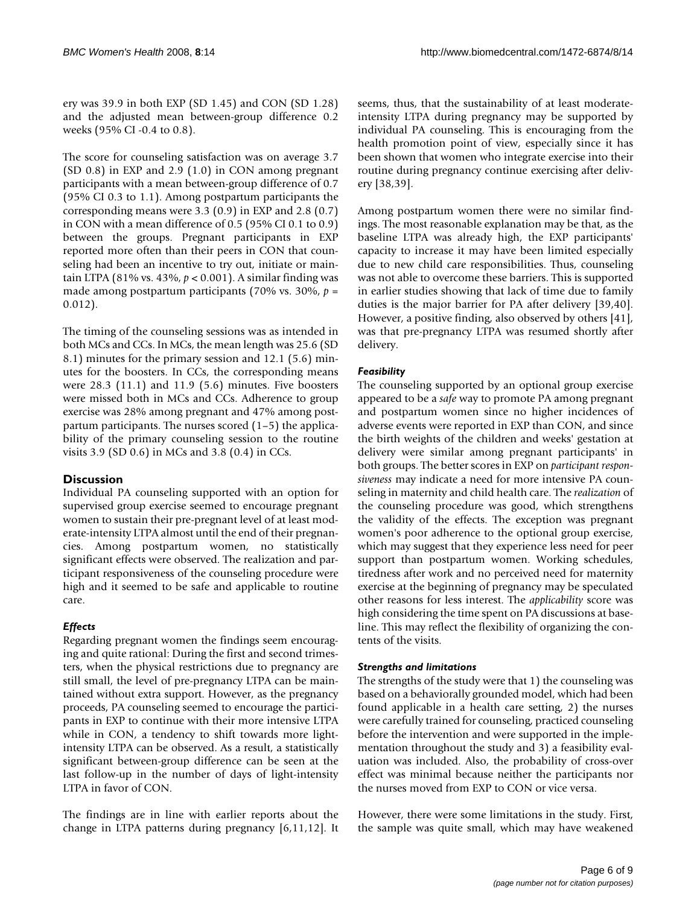ery was 39.9 in both EXP (SD 1.45) and CON (SD 1.28) and the adjusted mean between-group difference 0.2 weeks (95% CI -0.4 to 0.8).

The score for counseling satisfaction was on average 3.7 (SD 0.8) in EXP and 2.9 (1.0) in CON among pregnant participants with a mean between-group difference of 0.7 (95% CI 0.3 to 1.1). Among postpartum participants the corresponding means were 3.3 (0.9) in EXP and 2.8 (0.7) in CON with a mean difference of 0.5 (95% CI 0.1 to 0.9) between the groups. Pregnant participants in EXP reported more often than their peers in CON that counseling had been an incentive to try out, initiate or maintain LTPA (81% vs. 43%, *p* < 0.001). A similar finding was made among postpartum participants (70% vs. 30%, *p* = 0.012).

The timing of the counseling sessions was as intended in both MCs and CCs. In MCs, the mean length was 25.6 (SD 8.1) minutes for the primary session and 12.1 (5.6) minutes for the boosters. In CCs, the corresponding means were 28.3 (11.1) and 11.9 (5.6) minutes. Five boosters were missed both in MCs and CCs. Adherence to group exercise was 28% among pregnant and 47% among postpartum participants. The nurses scored (1–5) the applicability of the primary counseling session to the routine visits 3.9 (SD 0.6) in MCs and 3.8 (0.4) in CCs.

## **Discussion**

Individual PA counseling supported with an option for supervised group exercise seemed to encourage pregnant women to sustain their pre-pregnant level of at least moderate-intensity LTPA almost until the end of their pregnancies. Among postpartum women, no statistically significant effects were observed. The realization and participant responsiveness of the counseling procedure were high and it seemed to be safe and applicable to routine care.

## *Effects*

Regarding pregnant women the findings seem encouraging and quite rational: During the first and second trimesters, when the physical restrictions due to pregnancy are still small, the level of pre-pregnancy LTPA can be maintained without extra support. However, as the pregnancy proceeds, PA counseling seemed to encourage the participants in EXP to continue with their more intensive LTPA while in CON, a tendency to shift towards more lightintensity LTPA can be observed. As a result, a statistically significant between-group difference can be seen at the last follow-up in the number of days of light-intensity LTPA in favor of CON.

The findings are in line with earlier reports about the change in LTPA patterns during pregnancy [6,11,12]. It seems, thus, that the sustainability of at least moderateintensity LTPA during pregnancy may be supported by individual PA counseling. This is encouraging from the health promotion point of view, especially since it has been shown that women who integrate exercise into their routine during pregnancy continue exercising after delivery [38,39].

Among postpartum women there were no similar findings. The most reasonable explanation may be that, as the baseline LTPA was already high, the EXP participants' capacity to increase it may have been limited especially due to new child care responsibilities. Thus, counseling was not able to overcome these barriers. This is supported in earlier studies showing that lack of time due to family duties is the major barrier for PA after delivery [39,40]. However, a positive finding, also observed by others [41], was that pre-pregnancy LTPA was resumed shortly after delivery.

## *Feasibility*

The counseling supported by an optional group exercise appeared to be a *safe* way to promote PA among pregnant and postpartum women since no higher incidences of adverse events were reported in EXP than CON, and since the birth weights of the children and weeks' gestation at delivery were similar among pregnant participants' in both groups. The better scores in EXP on *participant responsiveness* may indicate a need for more intensive PA counseling in maternity and child health care. The *realization* of the counseling procedure was good, which strengthens the validity of the effects. The exception was pregnant women's poor adherence to the optional group exercise, which may suggest that they experience less need for peer support than postpartum women. Working schedules, tiredness after work and no perceived need for maternity exercise at the beginning of pregnancy may be speculated other reasons for less interest. The *applicability* score was high considering the time spent on PA discussions at baseline. This may reflect the flexibility of organizing the contents of the visits.

## *Strengths and limitations*

The strengths of the study were that 1) the counseling was based on a behaviorally grounded model, which had been found applicable in a health care setting, 2) the nurses were carefully trained for counseling, practiced counseling before the intervention and were supported in the implementation throughout the study and 3) a feasibility evaluation was included. Also, the probability of cross-over effect was minimal because neither the participants nor the nurses moved from EXP to CON or vice versa.

However, there were some limitations in the study. First, the sample was quite small, which may have weakened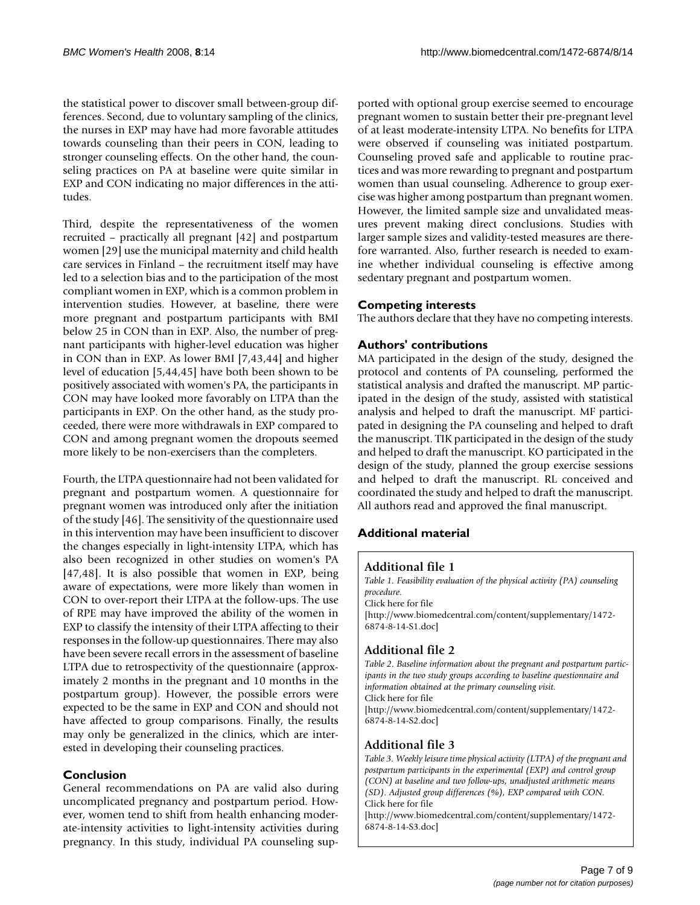the statistical power to discover small between-group differences. Second, due to voluntary sampling of the clinics, the nurses in EXP may have had more favorable attitudes towards counseling than their peers in CON, leading to stronger counseling effects. On the other hand, the counseling practices on PA at baseline were quite similar in EXP and CON indicating no major differences in the attitudes.

Third, despite the representativeness of the women recruited – practically all pregnant [42] and postpartum women [29] use the municipal maternity and child health care services in Finland – the recruitment itself may have led to a selection bias and to the participation of the most compliant women in EXP, which is a common problem in intervention studies. However, at baseline, there were more pregnant and postpartum participants with BMI below 25 in CON than in EXP. Also, the number of pregnant participants with higher-level education was higher in CON than in EXP. As lower BMI [7,43,44] and higher level of education [5,44,45] have both been shown to be positively associated with women's PA, the participants in CON may have looked more favorably on LTPA than the participants in EXP. On the other hand, as the study proceeded, there were more withdrawals in EXP compared to CON and among pregnant women the dropouts seemed more likely to be non-exercisers than the completers.

Fourth, the LTPA questionnaire had not been validated for pregnant and postpartum women. A questionnaire for pregnant women was introduced only after the initiation of the study [46]. The sensitivity of the questionnaire used in this intervention may have been insufficient to discover the changes especially in light-intensity LTPA, which has also been recognized in other studies on women's PA [47,48]. It is also possible that women in EXP, being aware of expectations, were more likely than women in CON to over-report their LTPA at the follow-ups. The use of RPE may have improved the ability of the women in EXP to classify the intensity of their LTPA affecting to their responses in the follow-up questionnaires. There may also have been severe recall errors in the assessment of baseline LTPA due to retrospectivity of the questionnaire (approximately 2 months in the pregnant and 10 months in the postpartum group). However, the possible errors were expected to be the same in EXP and CON and should not have affected to group comparisons. Finally, the results may only be generalized in the clinics, which are interested in developing their counseling practices.

## **Conclusion**

General recommendations on PA are valid also during uncomplicated pregnancy and postpartum period. However, women tend to shift from health enhancing moderate-intensity activities to light-intensity activities during pregnancy. In this study, individual PA counseling supported with optional group exercise seemed to encourage pregnant women to sustain better their pre-pregnant level of at least moderate-intensity LTPA. No benefits for LTPA were observed if counseling was initiated postpartum. Counseling proved safe and applicable to routine practices and was more rewarding to pregnant and postpartum women than usual counseling. Adherence to group exercise was higher among postpartum than pregnant women. However, the limited sample size and unvalidated measures prevent making direct conclusions. Studies with larger sample sizes and validity-tested measures are therefore warranted. Also, further research is needed to examine whether individual counseling is effective among sedentary pregnant and postpartum women.

## **Competing interests**

The authors declare that they have no competing interests.

## **Authors' contributions**

MA participated in the design of the study, designed the protocol and contents of PA counseling, performed the statistical analysis and drafted the manuscript. MP participated in the design of the study, assisted with statistical analysis and helped to draft the manuscript. MF participated in designing the PA counseling and helped to draft the manuscript. TIK participated in the design of the study and helped to draft the manuscript. KO participated in the design of the study, planned the group exercise sessions and helped to draft the manuscript. RL conceived and coordinated the study and helped to draft the manuscript. All authors read and approved the final manuscript.

## **Additional material**

## **Additional file 1**

*Table 1. Feasibility evaluation of the physical activity (PA) counseling procedure.* Click here for file [\[http://www.biomedcentral.com/content/supplementary/1472-](http://www.biomedcentral.com/content/supplementary/1472-6874-8-14-S1.doc) 6874-8-14-S1.doc]

## **Additional file 2**

*Table 2. Baseline information about the pregnant and postpartum participants in the two study groups according to baseline questionnaire and information obtained at the primary counseling visit.* Click here for file [\[http://www.biomedcentral.com/content/supplementary/1472-](http://www.biomedcentral.com/content/supplementary/1472-6874-8-14-S2.doc) 6874-8-14-S2.doc]

## **Additional file 3**

*Table 3. Weekly leisure time physical activity (LTPA) of the pregnant and postpartum participants in the experimental (EXP) and control group (CON) at baseline and two follow-ups, unadjusted arithmetic means (SD). Adjusted group differences (%), EXP compared with CON.* Click here for file [\[http://www.biomedcentral.com/content/supplementary/1472-](http://www.biomedcentral.com/content/supplementary/1472-6874-8-14-S3.doc) 6874-8-14-S3.doc]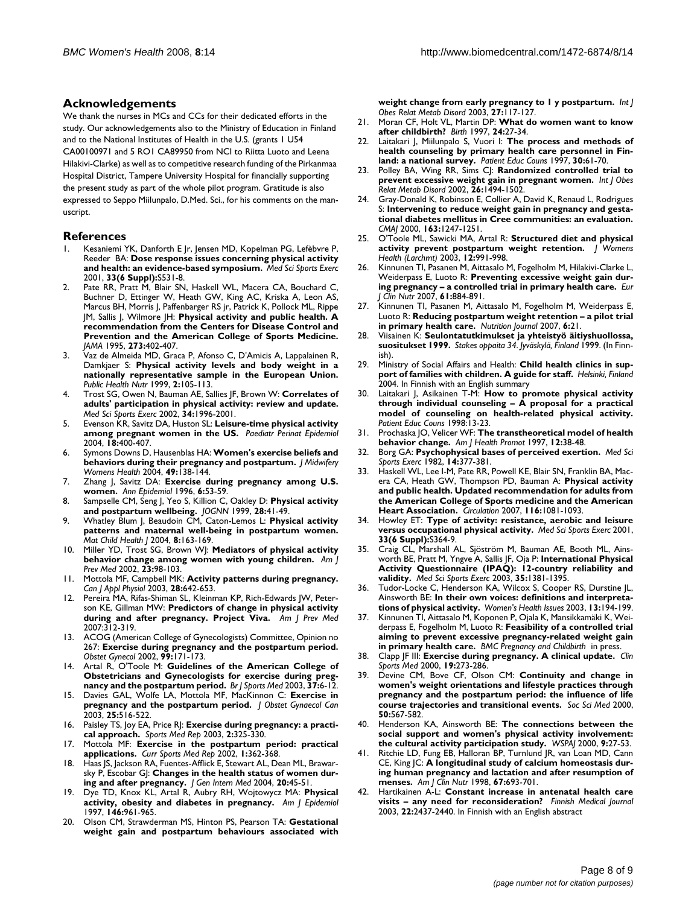#### **Acknowledgements**

We thank the nurses in MCs and CCs for their dedicated efforts in the study. Our acknowledgements also to the Ministry of Education in Finland and to the National Institutes of Health in the U.S. (grants 1 U54 CA00100971 and 5 RO1 CA89950 from NCI to Riitta Luoto and Leena Hilakivi-Clarke) as well as to competitive research funding of the Pirkanmaa Hospital District, Tampere University Hospital for financially supporting the present study as part of the whole pilot program. Gratitude is also expressed to Seppo Miilunpalo, D.Med. Sci., for his comments on the manuscript.

#### **References**

- Kesaniemi YK, Danforth E Jr, Jensen MD, Kopelman PG, Lefèbvre P, Reeder BA: **Dose response issues concerning physical activity and health: an evidence-based symposium.** *Med Sci Sports Exerc* 2001, **33(6 Suppl):**S531-8.
- Pate RR, Pratt M, Blair SN, Haskell WL, Macera CA, Bouchard C Buchner D, Ettinger W, Heath GW, King AC, Kriska A, Leon AS, Marcus BH, Morris J, Paffenbarger RS jr, Patrick K, Pollock ML, Rippe JM, Sallis J, Wilmore JH: **[Physical activity and public health. A](http://www.ncbi.nlm.nih.gov/entrez/query.fcgi?cmd=Retrieve&db=PubMed&dopt=Abstract&list_uids=7823386) [recommendation from the Centers for Disease Control and](http://www.ncbi.nlm.nih.gov/entrez/query.fcgi?cmd=Retrieve&db=PubMed&dopt=Abstract&list_uids=7823386) Prevention and the American College of Sports Medicine.** *JAMA* 1995, **273:**402-407.
- 3. Vaz de Almeida MD, Graca P, Afonso C, D'Amicis A, Lappalainen R, Damkjaer S: **[Physical activity levels and body weight in a](http://www.ncbi.nlm.nih.gov/entrez/query.fcgi?cmd=Retrieve&db=PubMed&dopt=Abstract&list_uids=10933630) [nationally representative sample in the European Union.](http://www.ncbi.nlm.nih.gov/entrez/query.fcgi?cmd=Retrieve&db=PubMed&dopt=Abstract&list_uids=10933630)** *Public Health Nutr* 1999, **2:**105-113.
- 4. Trost SG, Owen N, Bauman AE, Sallies JF, Brown W: **[Correlates of](http://www.ncbi.nlm.nih.gov/entrez/query.fcgi?cmd=Retrieve&db=PubMed&dopt=Abstract&list_uids=12471307) [adults' participation in physical activity: review and update.](http://www.ncbi.nlm.nih.gov/entrez/query.fcgi?cmd=Retrieve&db=PubMed&dopt=Abstract&list_uids=12471307)** *Med Sci Sports Exerc* 2002, **34:**1996-2001.
- 5. Evenson KR, Savitz DA, Huston SL: **[Leisure-time physical activity](http://www.ncbi.nlm.nih.gov/entrez/query.fcgi?cmd=Retrieve&db=PubMed&dopt=Abstract&list_uids=15535815) [among pregnant women in the US.](http://www.ncbi.nlm.nih.gov/entrez/query.fcgi?cmd=Retrieve&db=PubMed&dopt=Abstract&list_uids=15535815)** *Paediatr Perinat Epidemiol* 2004, **18:**400-407.
- 6. Symons Downs D, Hausenblas HA: **[Women's exercise beliefs and](http://www.ncbi.nlm.nih.gov/entrez/query.fcgi?cmd=Retrieve&db=PubMed&dopt=Abstract&list_uids=15010667) [behaviors during their pregnancy and postpartum.](http://www.ncbi.nlm.nih.gov/entrez/query.fcgi?cmd=Retrieve&db=PubMed&dopt=Abstract&list_uids=15010667)** *J Midwifery Womens Health* 2004, **49:**138-144.
- 7. Zhang J, Savitz DA: **[Exercise during pregnancy among U.S.](http://www.ncbi.nlm.nih.gov/entrez/query.fcgi?cmd=Retrieve&db=PubMed&dopt=Abstract&list_uids=8680626) [women.](http://www.ncbi.nlm.nih.gov/entrez/query.fcgi?cmd=Retrieve&db=PubMed&dopt=Abstract&list_uids=8680626)** *Ann Epidemiol* 1996, **6:**53-59.
- 8. Sampselle CM, Seng J, Yeo S, Killion C, Oakley D: **[Physical activity](http://www.ncbi.nlm.nih.gov/entrez/query.fcgi?cmd=Retrieve&db=PubMed&dopt=Abstract&list_uids=9924863) [and postpartum wellbeing.](http://www.ncbi.nlm.nih.gov/entrez/query.fcgi?cmd=Retrieve&db=PubMed&dopt=Abstract&list_uids=9924863)** *JOGNN* 1999, **28:**41-49.
- 9. Whatley Blum J, Beaudoin CM, Caton-Lemos L: **Physical activity patterns and maternal well-being in postpartum women.** *Mat Child Health J* 2004, **8:**163-169.
- 10. Miller YD, Trost SG, Brown WJ: **[Mediators of physical activity](http://www.ncbi.nlm.nih.gov/entrez/query.fcgi?cmd=Retrieve&db=PubMed&dopt=Abstract&list_uids=12133744) [behavior change among women with young children.](http://www.ncbi.nlm.nih.gov/entrez/query.fcgi?cmd=Retrieve&db=PubMed&dopt=Abstract&list_uids=12133744)** *Am J Prev Med* 2002, **23:**98-103.
- 11. Mottola MF, Campbell MK: **[Activity patterns during pregnancy.](http://www.ncbi.nlm.nih.gov/entrez/query.fcgi?cmd=Retrieve&db=PubMed&dopt=Abstract&list_uids=12904639)** *Can J Appl Physiol* 2003, **28:**642-653.
- 12. Pereira MA, Rifas-Shiman SL, Kleinman KP, Rich-Edwards JW, Peterson KE, Gillman MW: **[Predictors of change in physical activity](http://www.ncbi.nlm.nih.gov/entrez/query.fcgi?cmd=Retrieve&db=PubMed&dopt=Abstract&list_uids=17383562) [during and after pregnancy. Project Viva.](http://www.ncbi.nlm.nih.gov/entrez/query.fcgi?cmd=Retrieve&db=PubMed&dopt=Abstract&list_uids=17383562)** *Am J Prev Med* 2007:312-319.
- 13. ACOG (American College of Gynecologists) Committee, Opinion no 267: **[Exercise during pregnancy and the postpartum period.](http://www.ncbi.nlm.nih.gov/entrez/query.fcgi?cmd=Retrieve&db=PubMed&dopt=Abstract&list_uids=11777528)** *Obstet Gynecol* 2002, **99:**171-173.
- 14. Artal R, O'Toole M: **[Guidelines of the American College of](http://www.ncbi.nlm.nih.gov/entrez/query.fcgi?cmd=Retrieve&db=PubMed&dopt=Abstract&list_uids=12547738) [Obstetricians and Gynecologists for exercise during preg](http://www.ncbi.nlm.nih.gov/entrez/query.fcgi?cmd=Retrieve&db=PubMed&dopt=Abstract&list_uids=12547738)[nancy and the postpartum period.](http://www.ncbi.nlm.nih.gov/entrez/query.fcgi?cmd=Retrieve&db=PubMed&dopt=Abstract&list_uids=12547738)** *Br J Sports Med* 2003, **37:**6-12.
- 15. Davies GAL, Wolfe LA, Mottola MF, MacKinnon C: **[Exercise in](http://www.ncbi.nlm.nih.gov/entrez/query.fcgi?cmd=Retrieve&db=PubMed&dopt=Abstract&list_uids=12806453) [pregnancy and the postpartum period.](http://www.ncbi.nlm.nih.gov/entrez/query.fcgi?cmd=Retrieve&db=PubMed&dopt=Abstract&list_uids=12806453)** *J Obstet Gynaecol Can* 2003, **25:**516-522.
- 16. Paisley TS, Joy EA, Price RJ: **Exercise during pregnancy: a practical approach.** *Sports Med Rep* 2003, **2:**325-330.
- 17. Mottola MF: **[Exercise in the postpartum period: practical](http://www.ncbi.nlm.nih.gov/entrez/query.fcgi?cmd=Retrieve&db=PubMed&dopt=Abstract&list_uids=12831685) [applications.](http://www.ncbi.nlm.nih.gov/entrez/query.fcgi?cmd=Retrieve&db=PubMed&dopt=Abstract&list_uids=12831685)** *Curr Sports Med Rep* 2002, **1:**362-368.
- 18. Haas JS, Jackson RA, Fuentes-Afflick E, Stewart AL, Dean ML, Brawarsky P, Escobar GJ: **Changes in the health status of women during and after pregnancy.** *J Gen Intern Med* 2004, **20:**45-51.
- 19. Dye TD, Knox KL, Artal R, Aubry RH, Wojtowycz MA: **[Physical](http://www.ncbi.nlm.nih.gov/entrez/query.fcgi?cmd=Retrieve&db=PubMed&dopt=Abstract&list_uids=9400338) [activity, obesity and diabetes in pregnancy.](http://www.ncbi.nlm.nih.gov/entrez/query.fcgi?cmd=Retrieve&db=PubMed&dopt=Abstract&list_uids=9400338)** *Am J Epidemiol* 1997, **146:**961-965.
- 20. Olson CM, Strawderman MS, Hinton PS, Pearson TA: **[Gestational](http://www.ncbi.nlm.nih.gov/entrez/query.fcgi?cmd=Retrieve&db=PubMed&dopt=Abstract&list_uids=12532163) [weight gain and postpartum behaviours associated with](http://www.ncbi.nlm.nih.gov/entrez/query.fcgi?cmd=Retrieve&db=PubMed&dopt=Abstract&list_uids=12532163)**

**[weight change from early pregnancy to 1 y postpartum.](http://www.ncbi.nlm.nih.gov/entrez/query.fcgi?cmd=Retrieve&db=PubMed&dopt=Abstract&list_uids=12532163)** *Int J Obes Relat Metab Disord* 2003, **27:**117-127.

- 21. Moran CF, Holt VL, Martin DP: **[What do women want to know](http://www.ncbi.nlm.nih.gov/entrez/query.fcgi?cmd=Retrieve&db=PubMed&dopt=Abstract&list_uids=9271964) [after childbirth?](http://www.ncbi.nlm.nih.gov/entrez/query.fcgi?cmd=Retrieve&db=PubMed&dopt=Abstract&list_uids=9271964)** *Birth* 1997, **24:**27-34.
- 22. Laitakari J, Miilunpalo S, Vuori I: **[The process and methods of](http://www.ncbi.nlm.nih.gov/entrez/query.fcgi?cmd=Retrieve&db=PubMed&dopt=Abstract&list_uids=9110833) [health counseling by primary health care personnel in Fin](http://www.ncbi.nlm.nih.gov/entrez/query.fcgi?cmd=Retrieve&db=PubMed&dopt=Abstract&list_uids=9110833)[land: a national survey.](http://www.ncbi.nlm.nih.gov/entrez/query.fcgi?cmd=Retrieve&db=PubMed&dopt=Abstract&list_uids=9110833)** *Patient Educ Couns* 1997, **30:**61-70.
- 23. Polley BA, Wing RR, Sims CJ: **[Randomized controlled trial to](http://www.ncbi.nlm.nih.gov/entrez/query.fcgi?cmd=Retrieve&db=PubMed&dopt=Abstract&list_uids=12439652) [prevent excessive weight gain in pregnant women.](http://www.ncbi.nlm.nih.gov/entrez/query.fcgi?cmd=Retrieve&db=PubMed&dopt=Abstract&list_uids=12439652)** *Int J Obes Relat Metab Disord* 2002, **26:**1494-1502.
- 24. Gray-Donald K, Robinson E, Collier A, David K, Renaud L, Rodrigues S: **[Intervening to reduce weight gain in pregnancy and gesta](http://www.ncbi.nlm.nih.gov/entrez/query.fcgi?cmd=Retrieve&db=PubMed&dopt=Abstract&list_uids=11107459)[tional diabetes mellitus in Cree communities: an evaluation.](http://www.ncbi.nlm.nih.gov/entrez/query.fcgi?cmd=Retrieve&db=PubMed&dopt=Abstract&list_uids=11107459)** *CMAJ* 2000, **163:**1247-1251.
- 25. O'Toole ML, Sawicki MA, Artal R: **[Structured diet and physical](http://www.ncbi.nlm.nih.gov/entrez/query.fcgi?cmd=Retrieve&db=PubMed&dopt=Abstract&list_uids=14709187) [activity prevent postpartum weight retention.](http://www.ncbi.nlm.nih.gov/entrez/query.fcgi?cmd=Retrieve&db=PubMed&dopt=Abstract&list_uids=14709187)** *J Womens Health (Larchmt)* 2003, **12:**991-998.
- 26. Kinnunen TI, Pasanen M, Aittasalo M, Fogelholm M, Hilakivi-Clarke L, Weiderpass E, Luoto R: **[Preventing excessive weight gain dur](http://www.ncbi.nlm.nih.gov/entrez/query.fcgi?cmd=Retrieve&db=PubMed&dopt=Abstract&list_uids=17228348)[ing pregnancy – a controlled trial in primary health care.](http://www.ncbi.nlm.nih.gov/entrez/query.fcgi?cmd=Retrieve&db=PubMed&dopt=Abstract&list_uids=17228348)** *Eur J Clin Nutr* 2007, **61:**884-891.
- 27. Kinnunen TI, Pasanen M, Aittasalo M, Fogelholm M, Weiderpass E, Luoto R: **[Reducing postpartum weight retention – a pilot trial](http://www.ncbi.nlm.nih.gov/entrez/query.fcgi?cmd=Retrieve&db=PubMed&dopt=Abstract&list_uids=17825113) [in primary health care.](http://www.ncbi.nlm.nih.gov/entrez/query.fcgi?cmd=Retrieve&db=PubMed&dopt=Abstract&list_uids=17825113)** *Nutrition Journal* 2007, **6:**21.
- 28. Viisainen K: **Seulontatutkimukset ja yhteistyö äitiyshuollossa, suositukset 1999.** *Stakes oppaita 34. Jyväskylä, Finland* 1999. (In Finnish).
- 29. Ministry of Social Affairs and Health: **Child health clinics in support of families with children. A guide for staff.** *Helsinki, Finland* 2004. In Finnish with an English summary
- Laitakari J, Asikainen T-M: How to promote physical activity **through individual counseling – A proposal for a practical model of counseling on health-related physical activity.** *Patient Educ Couns* 1998:13-23.
- 31. Prochaska JO, Velicer WF: **[The transtheoretical model of health](http://www.ncbi.nlm.nih.gov/entrez/query.fcgi?cmd=Retrieve&db=PubMed&dopt=Abstract&list_uids=10170434) [behavior change.](http://www.ncbi.nlm.nih.gov/entrez/query.fcgi?cmd=Retrieve&db=PubMed&dopt=Abstract&list_uids=10170434)** *Am J Health Promot* 1997, **12:**38-48.
- 32. Borg GA: **[Psychophysical bases of perceived exertion.](http://www.ncbi.nlm.nih.gov/entrez/query.fcgi?cmd=Retrieve&db=PubMed&dopt=Abstract&list_uids=7154893)** *Med Sci Sports Exerc* 1982, **14:**377-381.
- 33. Haskell WL, Lee I-M, Pate RR, Powell KE, Blair SN, Franklin BA, Macera CA, Heath GW, Thompson PD, Bauman A: **[Physical activity](http://www.ncbi.nlm.nih.gov/entrez/query.fcgi?cmd=Retrieve&db=PubMed&dopt=Abstract&list_uids=17671237) [and public health. Updated recommendation for adults from](http://www.ncbi.nlm.nih.gov/entrez/query.fcgi?cmd=Retrieve&db=PubMed&dopt=Abstract&list_uids=17671237) the American College of Sports medicine and the American [Heart Association.](http://www.ncbi.nlm.nih.gov/entrez/query.fcgi?cmd=Retrieve&db=PubMed&dopt=Abstract&list_uids=17671237)** *Circulation* 2007, **116:**1081-1093.
- 34. Howley ET: **[Type of activity: resistance, aerobic and leisure](http://www.ncbi.nlm.nih.gov/entrez/query.fcgi?cmd=Retrieve&db=PubMed&dopt=Abstract&list_uids=11427761) [versus occupational physical activity.](http://www.ncbi.nlm.nih.gov/entrez/query.fcgi?cmd=Retrieve&db=PubMed&dopt=Abstract&list_uids=11427761)** *Med Sci Sports Exerc* 2001, **33(6 Suppl):**S364-9.
- 35. Craig CL, Marshall AL, Sjöström M, Bauman AE, Booth ML, Ainsworth BE, Pratt M, Yngve A, Sallis JF, Oja P: **[International Physical](http://www.ncbi.nlm.nih.gov/entrez/query.fcgi?cmd=Retrieve&db=PubMed&dopt=Abstract&list_uids=12900694) [Activity Questionnaire \(IPAQ\): 12-country reliability and](http://www.ncbi.nlm.nih.gov/entrez/query.fcgi?cmd=Retrieve&db=PubMed&dopt=Abstract&list_uids=12900694) [validity.](http://www.ncbi.nlm.nih.gov/entrez/query.fcgi?cmd=Retrieve&db=PubMed&dopt=Abstract&list_uids=12900694)** *Med Sci Sports Exerc* 2003, **35:**1381-1395.
- 36. Tudor-Locke C, Henderson KA, Wilcox S, Cooper RS, Durstine JL, Ainsworth BE: **[In their own voices: definitions and interpreta](http://www.ncbi.nlm.nih.gov/entrez/query.fcgi?cmd=Retrieve&db=PubMed&dopt=Abstract&list_uids=14583168)[tions of physical activity.](http://www.ncbi.nlm.nih.gov/entrez/query.fcgi?cmd=Retrieve&db=PubMed&dopt=Abstract&list_uids=14583168)** *Women's Health Issues* 2003, **13:**194-199.
- 37. Kinnunen TI, Aittasalo M, Koponen P, Ojala K, Mansikkamäki K, Weiderpass E, Fogelholm M, Luoto R: **Feasibility of a controlled trial aiming to prevent excessive pregnancy-related weight gain in primary health care.** *BMC Pregnancy and Childbirth* in press.
- 38. Clapp JF III: **[Exercise during pregnancy. A clinical update.](http://www.ncbi.nlm.nih.gov/entrez/query.fcgi?cmd=Retrieve&db=PubMed&dopt=Abstract&list_uids=10740759)** *Clin Sports Med* 2000, **19:**273-286.
- 39. Devine CM, Bove CF, Olson CM: **[Continuity and change in](http://www.ncbi.nlm.nih.gov/entrez/query.fcgi?cmd=Retrieve&db=PubMed&dopt=Abstract&list_uids=10641808) [women's weight orientations and lifestyle practices through](http://www.ncbi.nlm.nih.gov/entrez/query.fcgi?cmd=Retrieve&db=PubMed&dopt=Abstract&list_uids=10641808) pregnancy and the postpartum period: the influence of life [course trajectories and transitional events.](http://www.ncbi.nlm.nih.gov/entrez/query.fcgi?cmd=Retrieve&db=PubMed&dopt=Abstract&list_uids=10641808)** *Soc Sci Med* 2000, **50:**567-582.
- 40. Henderson KA, Ainsworth BE: **The connections between the social support and women's physical activity involvement: the cultural activity participation study.** *WSPAJ* 2000, **9:**27-53.
- 41. Ritchie LD, Fung EB, Halloran BP, Turnlund JR, van Loan MD, Cann CE, King JC: **[A longitudinal study of calcium homeostasis dur](http://www.ncbi.nlm.nih.gov/entrez/query.fcgi?cmd=Retrieve&db=PubMed&dopt=Abstract&list_uids=9537616)[ing human pregnancy and lactation and after resumption of](http://www.ncbi.nlm.nih.gov/entrez/query.fcgi?cmd=Retrieve&db=PubMed&dopt=Abstract&list_uids=9537616) [menses.](http://www.ncbi.nlm.nih.gov/entrez/query.fcgi?cmd=Retrieve&db=PubMed&dopt=Abstract&list_uids=9537616)** *Am J Clin Nutr* 1998, **67:**693-701.
- 42. Hartikainen A-L: **Constant increase in antenatal health care visits – any need for reconsideration?** *Finnish Medical Journal* 2003, **22:**2437-2440. In Finnish with an English abstract